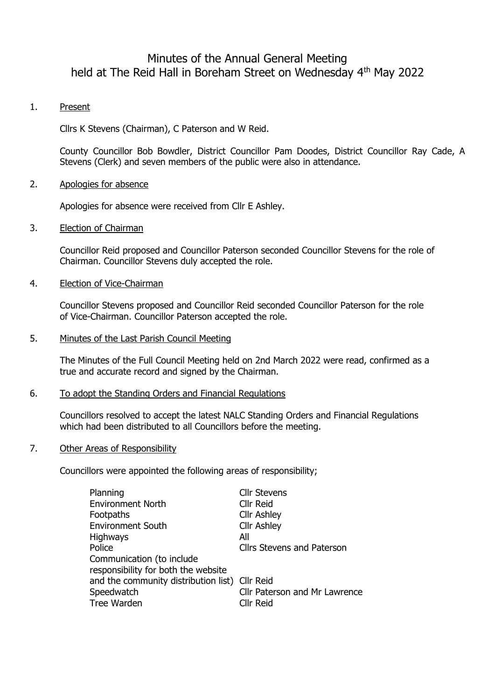# Minutes of the Annual General Meeting held at The Reid Hall in Boreham Street on Wednesday 4<sup>th</sup> May 2022

# 1. Present

Cllrs K Stevens (Chairman), C Paterson and W Reid.

County Councillor Bob Bowdler, District Councillor Pam Doodes, District Councillor Ray Cade, A Stevens (Clerk) and seven members of the public were also in attendance.

## 2. Apologies for absence

Apologies for absence were received from Cllr E Ashley.

#### 3. Election of Chairman

Councillor Reid proposed and Councillor Paterson seconded Councillor Stevens for the role of Chairman. Councillor Stevens duly accepted the role.

#### 4. Election of Vice-Chairman

Councillor Stevens proposed and Councillor Reid seconded Councillor Paterson for the role of Vice-Chairman. Councillor Paterson accepted the role.

#### 5. Minutes of the Last Parish Council Meeting

The Minutes of the Full Council Meeting held on 2nd March 2022 were read, confirmed as a true and accurate record and signed by the Chairman.

#### 6. To adopt the Standing Orders and Financial Regulations

Councillors resolved to accept the latest NALC Standing Orders and Financial Regulations which had been distributed to all Councillors before the meeting.

#### 7. Other Areas of Responsibility

Councillors were appointed the following areas of responsibility;

| Planning                                       | <b>Cllr Stevens</b>               |
|------------------------------------------------|-----------------------------------|
| <b>Environment North</b>                       | Cllr Reid                         |
| Footpaths                                      | <b>Cllr Ashley</b>                |
| <b>Environment South</b>                       | <b>Cllr Ashley</b>                |
| <b>Highways</b>                                | All                               |
| Police                                         | <b>Cllrs Stevens and Paterson</b> |
| Communication (to include                      |                                   |
| responsibility for both the website            |                                   |
| and the community distribution list) Cllr Reid |                                   |
| Speedwatch                                     | Cllr Paterson and Mr Lawrence     |
| Tree Warden                                    | Cllr Reid                         |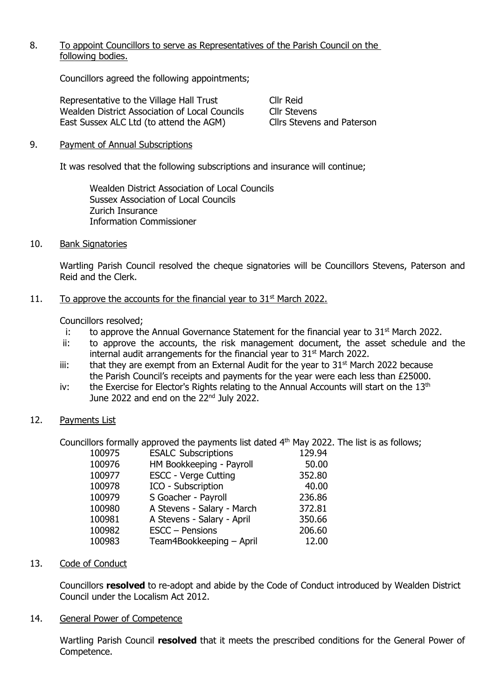# 8. To appoint Councillors to serve as Representatives of the Parish Council on the following bodies.

Councillors agreed the following appointments;

Representative to the Village Hall Trust Cllr Reid Wealden District Association of Local Councils Cllr Stevens<br>
East Sussex ALC Ltd (to attend the AGM) Cllrs Stevens and Paterson East Sussex ALC Ltd (to attend the AGM)

# 9. Payment of Annual Subscriptions

It was resolved that the following subscriptions and insurance will continue;

Wealden District Association of Local Councils Sussex Association of Local Councils Zurich Insurance Information Commissioner

## 10. Bank Signatories

Wartling Parish Council resolved the cheque signatories will be Councillors Stevens, Paterson and Reid and the Clerk.

# 11. To approve the accounts for the financial year to  $31<sup>st</sup>$  March 2022.

Councillors resolved;

- i: to approve the Annual Governance Statement for the financial year to  $31<sup>st</sup>$  March 2022.
- ii: to approve the accounts, the risk management document, the asset schedule and the internal audit arrangements for the financial year to  $31<sup>st</sup>$  March 2022.
- iii: that they are exempt from an External Audit for the year to  $31<sup>st</sup>$  March 2022 because the Parish Council's receipts and payments for the year were each less than £25000.
- iv: the Exercise for Elector's Rights relating to the Annual Accounts will start on the  $13<sup>th</sup>$ June 2022 and end on the 22<sup>nd</sup> July 2022.

## 12. Payments List

Councillors formally approved the payments list dated 4th May 2022. The list is as follows;

| <b>ESALC Subscriptions</b>  | 129.94 |
|-----------------------------|--------|
| HM Bookkeeping - Payroll    | 50.00  |
| <b>ESCC - Verge Cutting</b> | 352.80 |
| ICO - Subscription          | 40.00  |
| S Goacher - Payroll         | 236.86 |
| A Stevens - Salary - March  | 372.81 |
| A Stevens - Salary - April  | 350.66 |
| ESCC - Pensions             | 206.60 |
| Team4Bookkeeping - April    | 12.00  |
|                             |        |

# 13. Code of Conduct

Councillors **resolved** to re-adopt and abide by the Code of Conduct introduced by Wealden District Council under the Localism Act 2012.

## 14. General Power of Competence

Wartling Parish Council **resolved** that it meets the prescribed conditions for the General Power of Competence.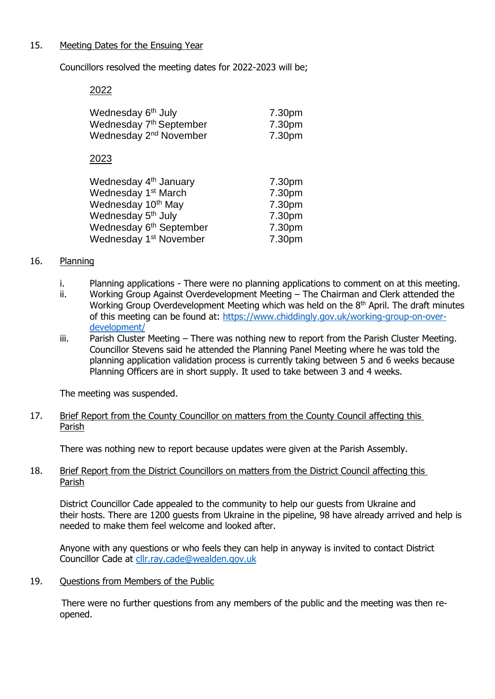## 15. Meeting Dates for the Ensuing Year

Councillors resolved the meeting dates for 2022-2023 will be;

2022

| Wednesday 6 <sup>th</sup> July      | 7.30pm |
|-------------------------------------|--------|
| Wednesday 7 <sup>th</sup> September | 7.30pm |
| Wednesday 2 <sup>nd</sup> November  | 7.30pm |
| 2023                                |        |
| Wednesday 4 <sup>th</sup> January   | 7.30pm |
| Wednesday 1 <sup>st</sup> March     | 7.30pm |
| Wednesday 10 <sup>th</sup> May      | 7.30pm |
| Wednesday 5 <sup>th</sup> July      | 7.30pm |
| Wednesday 6 <sup>th</sup> September | 7.30pm |
| Wednesday 1 <sup>st</sup> November  | 7.30pm |

## 16. Planning

- i. Planning applications There were no planning applications to comment on at this meeting.
- ii. Working Group Against Overdevelopment Meeting The Chairman and Clerk attended the Working Group Overdevelopment Meeting which was held on the  $8<sup>th</sup>$  April. The draft minutes of this meeting can be found at: [https://www.chiddingly.gov.uk/working-group-on-over](https://www.chiddingly.gov.uk/working-group-on-over-development/)[development/](https://www.chiddingly.gov.uk/working-group-on-over-development/)
- iii. Parish Cluster Meeting There was nothing new to report from the Parish Cluster Meeting. Councillor Stevens said he attended the Planning Panel Meeting where he was told the planning application validation process is currently taking between 5 and 6 weeks because Planning Officers are in short supply. It used to take between 3 and 4 weeks.

The meeting was suspended.

## 17. Brief Report from the County Councillor on matters from the County Council affecting this Parish

There was nothing new to report because updates were given at the Parish Assembly.

## 18. Brief Report from the District Councillors on matters from the District Council affecting this Parish

District Councillor Cade appealed to the community to help our guests from Ukraine and their hosts. There are 1200 guests from Ukraine in the pipeline, 98 have already arrived and help is needed to make them feel welcome and looked after.

Anyone with any questions or who feels they can help in anyway is invited to contact District Councillor Cade at [cllr.ray.cade@wealden.gov.uk](mailto:cllr.ray.cade@wealden.gov.uk)

19. Questions from Members of the Public

 There were no further questions from any members of the public and the meeting was then reopened.